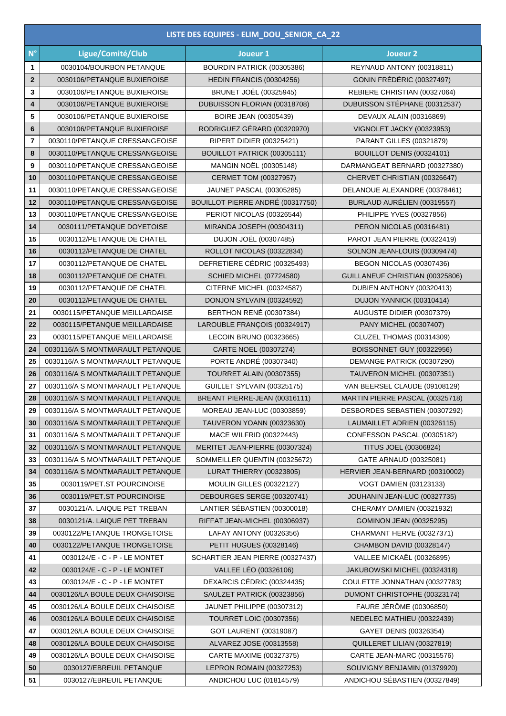|                         | LISTE DES EQUIPES - ELIM_DOU_SENIOR_CA_22 |                                  |                                 |  |  |  |
|-------------------------|-------------------------------------------|----------------------------------|---------------------------------|--|--|--|
| $\mathsf{N}^\circ$      | Ligue/Comité/Club                         | Joueur 1                         | Joueur <sub>2</sub>             |  |  |  |
| 1                       | 0030104/BOURBON PETANQUE                  | BOURDIN PATRICK (00305386)       | REYNAUD ANTONY (00318811)       |  |  |  |
| $\mathbf{2}$            | 0030106/PETANQUE BUXIEROISE               | HEDIN FRANCIS (00304256)         | GONIN FRÉDÉRIC (00327497)       |  |  |  |
| 3                       | 0030106/PETANQUE BUXIEROISE               | BRUNET JOËL (00325945)           | REBIERE CHRISTIAN (00327064)    |  |  |  |
| 4                       | 0030106/PETANQUE BUXIEROISE               | DUBUISSON FLORIAN (00318708)     | DUBUISSON STÉPHANE (00312537)   |  |  |  |
| 5                       | 0030106/PETANQUE BUXIEROISE               | BOIRE JEAN (00305439)            | DEVAUX ALAIN (00316869)         |  |  |  |
| 6                       | 0030106/PETANQUE BUXIEROISE               | RODRIGUEZ GÉRARD (00320970)      | VIGNOLET JACKY (00323953)       |  |  |  |
| $\overline{\mathbf{r}}$ | 0030110/PETANQUE CRESSANGEOISE            | RIPERT DIDIER (00325421)         | PARANT GILLES (00321879)        |  |  |  |
| 8                       | 0030110/PETANQUE CRESSANGEOISE            | BOUILLOT PATRICK (00305111)      | BOUILLOT DENIS (00324101)       |  |  |  |
| 9                       | 0030110/PETANQUE CRESSANGEOISE            | MANGIN NOËL (00305148)           | DARMANGEAT BERNARD (00327380)   |  |  |  |
| 10                      | 0030110/PETANQUE CRESSANGEOISE            | <b>CERMET TOM (00327957)</b>     | CHERVET CHRISTIAN (00326647)    |  |  |  |
| 11                      | 0030110/PETANQUE CRESSANGEOISE            | JAUNET PASCAL (00305285)         | DELANOUE ALEXANDRE (00378461)   |  |  |  |
| 12                      | 0030110/PETANQUE CRESSANGEOISE            | BOUILLOT PIERRE ANDRÉ (00317750) | BURLAUD AURÉLIEN (00319557)     |  |  |  |
| 13                      | 0030110/PETANQUE CRESSANGEOISE            | PERIOT NICOLAS (00326544)        | PHILIPPE YVES (00327856)        |  |  |  |
| 14                      | 0030111/PETANQUE DOYETOISE                | MIRANDA JOSEPH (00304311)        | PERON NICOLAS (00316481)        |  |  |  |
| 15                      | 0030112/PETANQUE DE CHATEL                | DUJON JOËL (00307485)            | PAROT JEAN PIERRE (00322419)    |  |  |  |
| 16                      | 0030112/PETANQUE DE CHATEL                | ROLLOT NICOLAS (00322834)        | SOLNON JEAN-LOUIS (00309474)    |  |  |  |
| 17                      | 0030112/PETANQUE DE CHATEL                | DEFRETIERE CÉDRIC (00325493)     | BEGON NICOLAS (00307436)        |  |  |  |
| 18                      | 0030112/PETANQUE DE CHATEL                | <b>SCHIED MICHEL (07724580)</b>  | GUILLANEUF CHRISTIAN (00325806) |  |  |  |
| 19                      | 0030112/PETANQUE DE CHATEL                | CITERNE MICHEL (00324587)        | DUBIEN ANTHONY (00320413)       |  |  |  |
| 20                      | 0030112/PETANQUE DE CHATEL                | DONJON SYLVAIN (00324592)        | DUJON YANNICK (00310414)        |  |  |  |
| 21                      | 0030115/PETANQUE MEILLARDAISE             | <b>BERTHON RENÉ (00307384)</b>   | AUGUSTE DIDIER (00307379)       |  |  |  |
| 22                      | 0030115/PETANQUE MEILLARDAISE             | LAROUBLE FRANÇOIS (00324917)     | PANY MICHEL (00307407)          |  |  |  |
| 23                      | 0030115/PETANQUE MEILLARDAISE             | LECOIN BRUNO (00323665)          | CLUZEL THOMAS (00314309)        |  |  |  |
| 24                      | 0030116/A S MONTMARAULT PETANQUE          | CARTE NOEL (00307274)            | BOISSONNET GUY (00322956)       |  |  |  |
| 25                      | 0030116/A S MONTMARAULT PETANQUE          | PORTE ANDRÉ (00307340)           | DEMANGE PATRICK (00307290)      |  |  |  |
| 26                      | 0030116/A S MONTMARAULT PETANQUE          | <b>TOURRET ALAIN (00307355)</b>  | TAUVERON MICHEL (00307351)      |  |  |  |
| 27                      | 0030116/A S MONTMARAULT PETANQUE          | GUILLET SYLVAIN (00325175)       | VAN BEERSEL CLAUDE (09108129)   |  |  |  |
| 28                      | 0030116/A S MONTMARAULT PETANQUE          | BREANT PIERRE-JEAN (00316111)    | MARTIN PIERRE PASCAL (00325718) |  |  |  |
| 29                      | 0030116/A S MONTMARAULT PETANQUE          | MOREAU JEAN-LUC (00303859)       | DESBORDES SEBASTIEN (00307292)  |  |  |  |
| 30                      | 0030116/A S MONTMARAULT PETANQUE          | TAUVERON YOANN (00323630)        | LAUMAILLET ADRIEN (00326115)    |  |  |  |
| 31                      | 0030116/A S MONTMARAULT PETANQUE          | MACE WILFRID (00322443)          | CONFESSON PASCAL (00305182)     |  |  |  |
| 32                      | 0030116/A S MONTMARAULT PETANQUE          | MERITET JEAN-PIERRE (00307324)   | TITUS JOEL (00306824)           |  |  |  |
| 33                      | 0030116/A S MONTMARAULT PETANQUE          | SOMMEILLER QUENTIN (00325672)    | GATE ARNAUD (00325081)          |  |  |  |
| 34                      | 0030116/A S MONTMARAULT PETANQUE          | LURAT THIERRY (00323805)         | HERVIER JEAN-BERNARD (00310002) |  |  |  |
| 35                      | 0030119/PET.ST POURCINOISE                | MOULIN GILLES (00322127)         | <b>VOGT DAMIEN (03123133)</b>   |  |  |  |
| 36                      | 0030119/PET.ST POURCINOISE                | DEBOURGES SERGE (00320741)       | JOUHANIN JEAN-LUC (00327735)    |  |  |  |
| 37                      | 0030121/A. LAIQUE PET TREBAN              | LANTIER SÉBASTIEN (00300018)     | CHERAMY DAMIEN (00321932)       |  |  |  |
| 38                      | 0030121/A. LAIQUE PET TREBAN              | RIFFAT JEAN-MICHEL (00306937)    | <b>GOMINON JEAN (00325295)</b>  |  |  |  |
| 39                      | 0030122/PETANQUE TRONGETOISE              | LAFAY ANTONY (00326356)          | CHARMANT HERVE (00327371)       |  |  |  |
| 40                      | 0030122/PETANQUE TRONGETOISE              | <b>PETIT HUGUES (00328146)</b>   | CHAMBON DAVID (00328147)        |  |  |  |
| 41                      | 0030124/E - C - P - LE MONTET             | SCHARTIER JEAN PIERRE (00327437) | VALLEE MICKAÊL (00326895)       |  |  |  |
| 42                      | 0030124/E - C - P - LE MONTET             | VALLEE LÉO (00326106)            | JAKUBOWSKI MICHEL (00324318)    |  |  |  |
| 43                      | 0030124/E - C - P - LE MONTET             | DEXARCIS CÉDRIC (00324435)       | COULETTE JONNATHAN (00327783)   |  |  |  |
| 44                      | 0030126/LA BOULE DEUX CHAISOISE           | SAULZET PATRICK (00323856)       | DUMONT CHRISTOPHE (00323174)    |  |  |  |
| 45                      | 0030126/LA BOULE DEUX CHAISOISE           | JAUNET PHILIPPE (00307312)       | FAURE JÉRÔME (00306850)         |  |  |  |
| 46                      | 0030126/LA BOULE DEUX CHAISOISE           | <b>TOURRET LOIC (00307356)</b>   | NEDELEC MATHIEU (00322439)      |  |  |  |
| 47                      | 0030126/LA BOULE DEUX CHAISOISE           | <b>GOT LAURENT (00319087)</b>    | GAYET DENIS (00326354)          |  |  |  |
| 48                      | 0030126/LA BOULE DEUX CHAISOISE           | ALVAREZ JOSE (00313558)          | QUILLERET LILIAN (00327819)     |  |  |  |
| 49                      | 0030126/LA BOULE DEUX CHAISOISE           | CARTE MAXIME (00327375)          | CARTE JEAN-MARC (00315576)      |  |  |  |
| 50                      | 0030127/EBREUIL PETANQUE                  | LEPRON ROMAIN (00327253)         | SOUVIGNY BENJAMIN (01379920)    |  |  |  |
| 51                      | 0030127/EBREUIL PETANQUE                  | ANDICHOU LUC (01814579)          | ANDICHOU SÉBASTIEN (00327849)   |  |  |  |